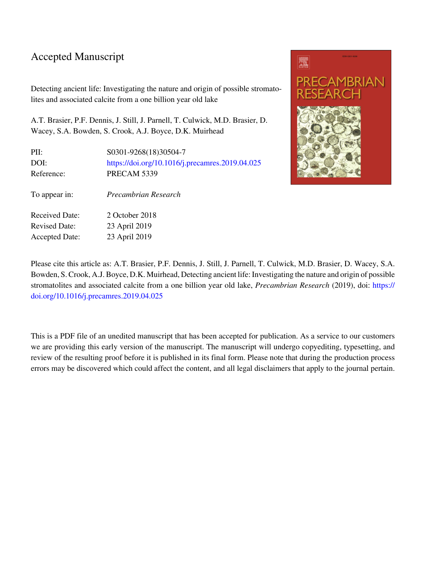### Accepted Manuscript

Detecting ancient life: Investigating the nature and origin of possible stromatolites and associated calcite from a one billion year old lake

A.T. Brasier, P.F. Dennis, J. Still, J. Parnell, T. Culwick, M.D. Brasier, D. Wacey, S.A. Bowden, S. Crook, A.J. Boyce, D.K. Muirhead

| PII:                  | S0301-9268(18)30504-7                           |  |  |
|-----------------------|-------------------------------------------------|--|--|
| DOI:                  | https://doi.org/10.1016/j.precamres.2019.04.025 |  |  |
| Reference:            | PRECAM 5339                                     |  |  |
| To appear in:         | Precambrian Research                            |  |  |
| <b>Received Date:</b> | 2 October 2018                                  |  |  |
| <b>Revised Date:</b>  | 23 April 2019                                   |  |  |
| <b>Accepted Date:</b> | 23 April 2019                                   |  |  |



Please cite this article as: A.T. Brasier, P.F. Dennis, J. Still, J. Parnell, T. Culwick, M.D. Brasier, D. Wacey, S.A. Bowden, S. Crook, A.J. Boyce, D.K. Muirhead, Detecting ancient life: Investigating the nature and origin of possible stromatolites and associated calcite from a one billion year old lake, *Precambrian Research* (2019), doi: [https://](https://doi.org/10.1016/j.precamres.2019.04.025) [doi.org/10.1016/j.precamres.2019.04.025](https://doi.org/10.1016/j.precamres.2019.04.025)

This is a PDF file of an unedited manuscript that has been accepted for publication. As a service to our customers we are providing this early version of the manuscript. The manuscript will undergo copyediting, typesetting, and review of the resulting proof before it is published in its final form. Please note that during the production process errors may be discovered which could affect the content, and all legal disclaimers that apply to the journal pertain.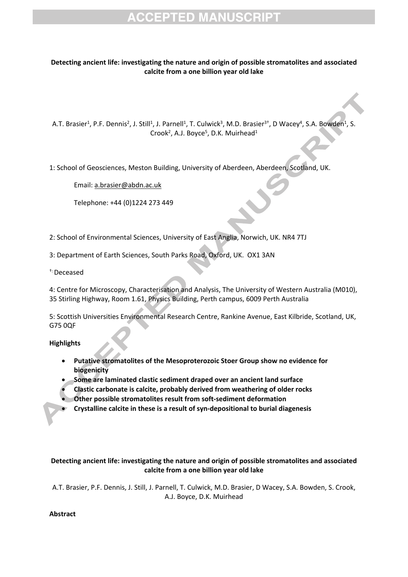### **Detecting ancient life: investigating the nature and origin of possible stromatolites and associated calcite from a one billion year old lake**

A.T. Brasier<sup>1</sup>, P.F. Dennis<sup>2</sup>, J. Still<sup>1</sup>, J. Parnell<sup>1</sup>, T. Culwick<sup>3</sup>, M.D. Brasier<sup>3†</sup>, D Wacey<sup>4</sup>, S.A. Bowden<sup>1</sup>, S. Crook<sup>2</sup>, A.J. Boyce<sup>5</sup>, D.K. Muirhead<sup>1</sup>

1: School of Geosciences, Meston Building, University of Aberdeen, Aberdeen, Scotland, UK.

Email: [a.brasier@abdn.ac.uk](mailto:a.brasier@abdn.ac.uk)

Telephone: +44 (0)1224 273 449

2: School of Environmental Sciences, University of East Anglia, Norwich, UK. NR4 7TJ

3: Department of Earth Sciences, South Parks Road, Oxford, UK. OX1 3AN

†: Deceased

4: Centre for Microscopy, Characterisation and Analysis, The University of Western Australia (M010), 35 Stirling Highway, Room 1.61, Physics Building, Perth campus, 6009 Perth Australia

5: Scottish Universities Environmental Research Centre, Rankine Avenue, East Kilbride, Scotland, UK, G75 0QF

**Highlights**

- **Putative stromatolites of the Mesoproterozoic Stoer Group show no evidence for biogenicity**
- **Some are laminated clastic sediment draped over an ancient land surface**
- **Clastic carbonate is calcite, probably derived from weathering of older rocks**
- **Other possible stromatolites result from soft-sediment deformation**
- **Crystalline calcite in these is a result of syn-depositional to burial diagenesis**

### **Detecting ancient life: investigating the nature and origin of possible stromatolites and associated calcite from a one billion year old lake**

A.T. Brasier, P.F. Dennis, J. Still, J. Parnell, T. Culwick, M.D. Brasier, D Wacey, S.A. Bowden, S. Crook, A.J. Boyce, D.K. Muirhead

**Abstract**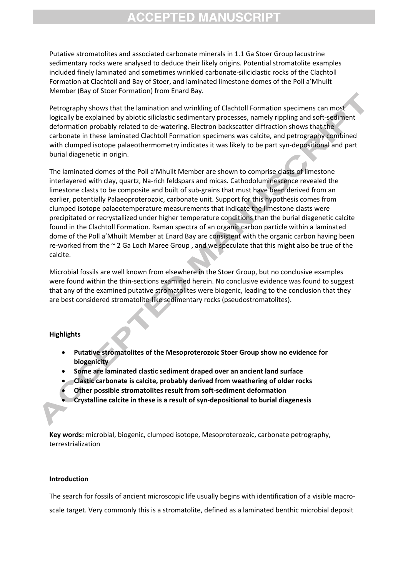Putative stromatolites and associated carbonate minerals in 1.1 Ga Stoer Group lacustrine sedimentary rocks were analysed to deduce their likely origins. Potential stromatolite examples included finely laminated and sometimes wrinkled carbonate-siliciclastic rocks of the Clachtoll Formation at Clachtoll and Bay of Stoer, and laminated limestone domes of the Poll a'Mhuilt Member (Bay of Stoer Formation) from Enard Bay.

Petrography shows that the lamination and wrinkling of Clachtoll Formation specimens can most logically be explained by abiotic siliclastic sedimentary processes, namely rippling and soft-sediment deformation probably related to de-watering. Electron backscatter diffraction shows that the carbonate in these laminated Clachtoll Formation specimens was calcite, and petrography combined with clumped isotope palaeothermometry indicates it was likely to be part syn-depositional and part burial diagenetic in origin.

The laminated domes of the Poll a'Mhuilt Member are shown to comprise clasts of limestone interlayered with clay, quartz, Na-rich feldspars and micas. Cathodoluminescence revealed the limestone clasts to be composite and built of sub-grains that must have been derived from an earlier, potentially Palaeoproterozoic, carbonate unit. Support for this hypothesis comes from clumped isotope palaeotemperature measurements that indicate the limestone clasts were precipitated or recrystallized under higher temperature conditions than the burial diagenetic calcite found in the Clachtoll Formation. Raman spectra of an organic carbon particle within a laminated dome of the Poll a'Mhuilt Member at Enard Bay are consistent with the organic carbon having been re-worked from the ~ 2 Ga Loch Maree Group , and we speculate that this might also be true of the calcite.

Microbial fossils are well known from elsewhere in the Stoer Group, but no conclusive examples were found within the thin-sections examined herein. No conclusive evidence was found to suggest that any of the examined putative stromatolites were biogenic, leading to the conclusion that they are best considered stromatolite-like sedimentary rocks (pseudostromatolites).

### **Highlights**

- **Putative stromatolites of the Mesoproterozoic Stoer Group show no evidence for biogenicity**
- **Some are laminated clastic sediment draped over an ancient land surface**
- **Clastic carbonate is calcite, probably derived from weathering of older rocks**
- **Other possible stromatolites result from soft-sediment deformation**
- **Crystalline calcite in these is a result of syn-depositional to burial diagenesis**

**Key words:** microbial, biogenic, clumped isotope, Mesoproterozoic, carbonate petrography, terrestrialization

### **Introduction**

The search for fossils of ancient microscopic life usually begins with identification of a visible macroscale target. Very commonly this is a stromatolite, defined as a laminated benthic microbial deposit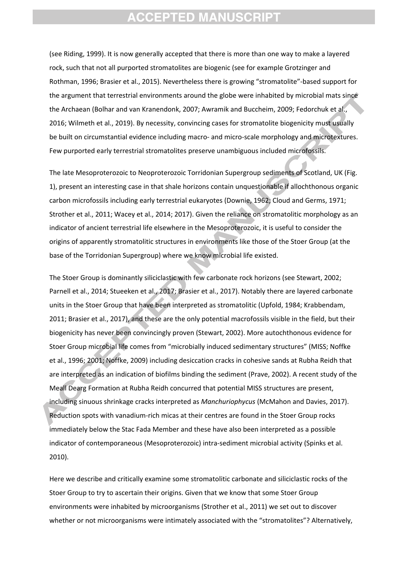(see Riding, 1999). It is now generally accepted that there is more than one way to make a layered rock, such that not all purported stromatolites are biogenic (see for example Grotzinger and Rothman, 1996; Brasier et al., 2015). Nevertheless there is growing "stromatolite"-based support for the argument that terrestrial environments around the globe were inhabited by microbial mats since the Archaean (Bolhar and van Kranendonk, 2007; Awramik and Buccheim, 2009; Fedorchuk et al., 2016; Wilmeth et al., 2019). By necessity, convincing cases for stromatolite biogenicity must usually be built on circumstantial evidence including macro- and micro-scale morphology and microtextures. Few purported early terrestrial stromatolites preserve unambiguous included microfossils.

The late Mesoproterozoic to Neoproterozoic Torridonian Supergroup sediments of Scotland, UK (Fig. 1), present an interesting case in that shale horizons contain unquestionable if allochthonous organic carbon microfossils including early terrestrial eukaryotes (Downie, 1962; Cloud and Germs, 1971; Strother et al., 2011; Wacey et al., 2014; 2017). Given the reliance on stromatolitic morphology as an indicator of ancient terrestrial life elsewhere in the Mesoproterozoic, it is useful to consider the origins of apparently stromatolitic structures in environments like those of the Stoer Group (at the base of the Torridonian Supergroup) where we know microbial life existed.

The Stoer Group is dominantly siliciclastic with few carbonate rock horizons (see Stewart, 2002; Parnell et al., 2014; Stueeken et al., 2017; Brasier et al., 2017). Notably there are layered carbonate units in the Stoer Group that have been interpreted as stromatolitic (Upfold, 1984; Krabbendam, 2011; Brasier et al., 2017), and these are the only potential macrofossils visible in the field, but their biogenicity has never been convincingly proven (Stewart, 2002). More autochthonous evidence for Stoer Group microbial life comes from "microbially induced sedimentary structures" (MISS; Noffke et al., 1996; 2001; Noffke, 2009) including desiccation cracks in cohesive sands at Rubha Reidh that are interpreted as an indication of biofilms binding the sediment (Prave, 2002). A recent study of the Meall Dearg Formation at Rubha Reidh concurred that potential MISS structures are present, including sinuous shrinkage cracks interpreted as *Manchuriophycus* (McMahon and Davies, 2017). Reduction spots with vanadium-rich micas at their centres are found in the Stoer Group rocks immediately below the Stac Fada Member and these have also been interpreted as a possible indicator of contemporaneous (Mesoproterozoic) intra-sediment microbial activity (Spinks et al. 2010).

Here we describe and critically examine some stromatolitic carbonate and siliciclastic rocks of the Stoer Group to try to ascertain their origins. Given that we know that some Stoer Group environments were inhabited by microorganisms (Strother et al., 2011) we set out to discover whether or not microorganisms were intimately associated with the "stromatolites"? Alternatively,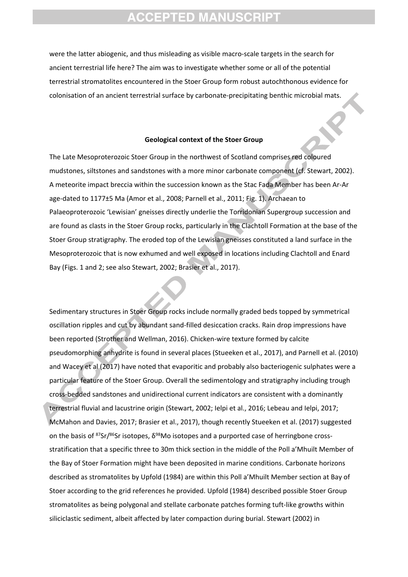were the latter abiogenic, and thus misleading as visible macro-scale targets in the search for ancient terrestrial life here? The aim was to investigate whether some or all of the potential terrestrial stromatolites encountered in the Stoer Group form robust autochthonous evidence for colonisation of an ancient terrestrial surface by carbonate-precipitating benthic microbial mats.

### **Geological context of the Stoer Group**

The Late Mesoproterozoic Stoer Group in the northwest of Scotland comprises red coloured mudstones, siltstones and sandstones with a more minor carbonate component (cf. Stewart, 2002). A meteorite impact breccia within the succession known as the Stac Fada Member has been Ar-Ar age-dated to 1177±5 Ma (Amor et al., 2008; Parnell et al., 2011; Fig. 1). Archaean to Palaeoproterozoic 'Lewisian' gneisses directly underlie the Torridonian Supergroup succession and are found as clasts in the Stoer Group rocks, particularly in the Clachtoll Formation at the base of the Stoer Group stratigraphy. The eroded top of the Lewisian gneisses constituted a land surface in the Mesoproterozoic that is now exhumed and well exposed in locations including Clachtoll and Enard Bay (Figs. 1 and 2; see also Stewart, 2002; Brasier et al., 2017).

Sedimentary structures in Stoer Group rocks include normally graded beds topped by symmetrical oscillation ripples and cut by abundant sand-filled desiccation cracks. Rain drop impressions have been reported (Strother and Wellman, 2016). Chicken-wire texture formed by calcite pseudomorphing anhydrite is found in several places (Stueeken et al., 2017), and Parnell et al. (2010) and Wacey et al (2017) have noted that evaporitic and probably also bacteriogenic sulphates were a particular feature of the Stoer Group. Overall the sedimentology and stratigraphy including trough cross-bedded sandstones and unidirectional current indicators are consistent with a dominantly terrestrial fluvial and lacustrine origin (Stewart, 2002; Ielpi et al., 2016; Lebeau and Ielpi, 2017; McMahon and Davies, 2017; Brasier et al., 2017), though recently Stueeken et al. (2017) suggested on the basis of  $87$ Sr/ $86$ Sr isotopes,  $\delta^{98}$ Mo isotopes and a purported case of herringbone crossstratification that a specific three to 30m thick section in the middle of the Poll a'Mhuilt Member of the Bay of Stoer Formation might have been deposited in marine conditions. Carbonate horizons described as stromatolites by Upfold (1984) are within this Poll a'Mhuilt Member section at Bay of Stoer according to the grid references he provided. Upfold (1984) described possible Stoer Group stromatolites as being polygonal and stellate carbonate patches forming tuft-like growths within siliciclastic sediment, albeit affected by later compaction during burial. Stewart (2002) in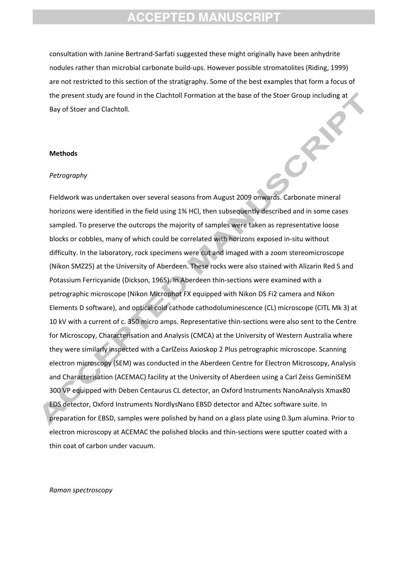consultation with Janine Bertrand-Sarfati suggested these might originally have been anhydrite nodules rather than microbial carbonate build-ups. However possible stromatolites (Riding, 1999) are not restricted to this section of the stratigraphy. Some of the best examples that form a focus of the present study are found in the Clachtoll Formation at the base of the Stoer Group including at Bay of Stoer and Clachtoll.

#### **Methods**

#### *Petrography*

Fieldwork was undertaken over several seasons from August 2009 onwards. Carbonate mineral horizons were identified in the field using 1% HCl, then subsequently described and in some cases sampled. To preserve the outcrops the majority of samples were taken as representative loose blocks or cobbles, many of which could be correlated with horizons exposed in-situ without difficulty. In the laboratory, rock specimens were cut and imaged with a zoom stereomicroscope (Nikon SMZ25) at the University of Aberdeen. These rocks were also stained with Alizarin Red S and Potassium Ferricyanide (Dickson, 1965). In Aberdeen thin-sections were examined with a petrographic microscope (Nikon Microphot FX equipped with Nikon DS Fi2 camera and Nikon Elements D software), and optical cold cathode cathodoluminescence (CL) microscope (CITL Mk 3) at 10 kV with a current of c. 350 micro amps. Representative thin-sections were also sent to the Centre for Microscopy, Characterisation and Analysis (CMCA) at the University of Western Australia where they were similarly inspected with a CarlZeiss Axioskop 2 Plus petrographic microscope. Scanning electron microscopy (SEM) was conducted in the Aberdeen Centre for Electron Microscopy, Analysis and Characterisation (ACEMAC) facility at the University of Aberdeen using a Carl Zeiss GeminiSEM 300 VP equipped with Deben Centaurus CL detector, an Oxford Instruments NanoAnalysis Xmax80 EDS detector, Oxford Instruments NordlysNano EBSD detector and AZtec software suite. In preparation for EBSD, samples were polished by hand on a glass plate using 0.3µm alumina. Prior to electron microscopy at ACEMAC the polished blocks and thin-sections were sputter coated with a thin coat of carbon under vacuum.

*Raman spectroscopy*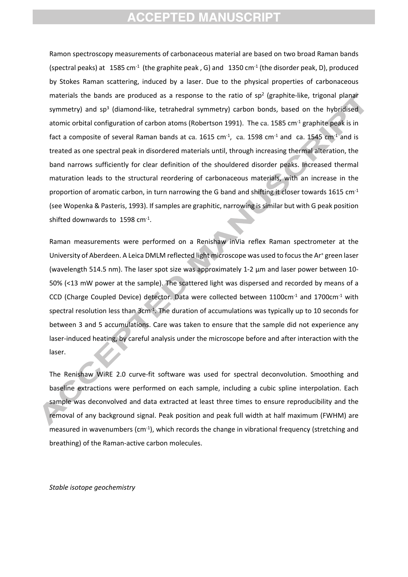Ramon spectroscopy measurements of carbonaceous material are based on two broad Raman bands (spectral peaks) at  $1585 \text{ cm}^{-1}$  (the graphite peak, G) and  $1350 \text{ cm}^{-1}$  (the disorder peak, D), produced by Stokes Raman scattering, induced by a laser. Due to the physical properties of carbonaceous materials the bands are produced as a response to the ratio of  $sp<sup>2</sup>$  (graphite-like, trigonal planar symmetry) and sp<sup>3</sup> (diamond-like, tetrahedral symmetry) carbon bonds, based on the hybridised atomic orbital configuration of carbon atoms (Robertson 1991). The ca. 1585 cm-1 graphite peak is in fact a composite of several Raman bands at ca. 1615 cm<sup>-1</sup>, ca. 1598 cm<sup>-1</sup> and ca. 1545 cm<sup>-1</sup> and is treated as one spectral peak in disordered materials until, through increasing thermal alteration, the band narrows sufficiently for clear definition of the shouldered disorder peaks. Increased thermal maturation leads to the structural reordering of carbonaceous materials, with an increase in the proportion of aromatic carbon, in turn narrowing the G band and shifting it closer towards 1615  $cm<sup>-1</sup>$ (see Wopenka & Pasteris, 1993). If samples are graphitic, narrowing is similar but with G peak position shifted downwards to 1598 cm<sup>-1</sup>.

Raman measurements were performed on a Renishaw inVia reflex Raman spectrometer at the University of Aberdeen. A Leica DMLM reflected light microscope was used to focus the Ar<sup>+</sup> green laser (wavelength 514.5 nm). The laser spot size was approximately 1-2 µm and laser power between 10- 50% (<13 mW power at the sample). The scattered light was dispersed and recorded by means of a CCD (Charge Coupled Device) detector. Data were collected between 1100cm-1 and 1700cm-1 with spectral resolution less than 3cm<sup>-1</sup>. The duration of accumulations was typically up to 10 seconds for between 3 and 5 accumulations. Care was taken to ensure that the sample did not experience any laser-induced heating, by careful analysis under the microscope before and after interaction with the laser.

The Renishaw WiRE 2.0 curve-fit software was used for spectral deconvolution. Smoothing and baseline extractions were performed on each sample, including a cubic spline interpolation. Each sample was deconvolved and data extracted at least three times to ensure reproducibility and the removal of any background signal. Peak position and peak full width at half maximum (FWHM) are measured in wavenumbers (cm<sup>-1</sup>), which records the change in vibrational frequency (stretching and breathing) of the Raman-active carbon molecules.

*Stable isotope geochemistry*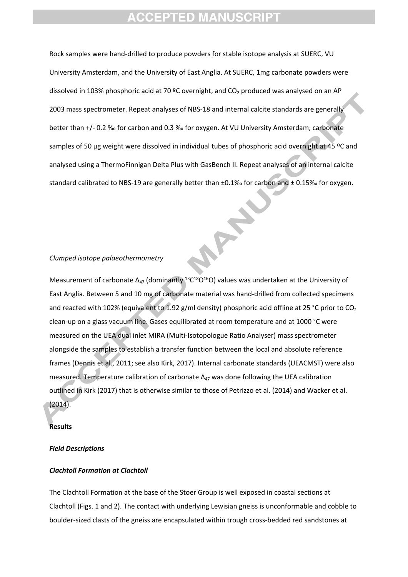Rock samples were hand-drilled to produce powders for stable isotope analysis at SUERC, VU University Amsterdam, and the University of East Anglia. At SUERC, 1mg carbonate powders were dissolved in 103% phosphoric acid at 70 °C overnight, and  $CO<sub>2</sub>$  produced was analysed on an AP 2003 mass spectrometer. Repeat analyses of NBS-18 and internal calcite standards are generally better than +/- 0.2 ‰ for carbon and 0.3 ‰ for oxygen. At VU University Amsterdam, carbonate samples of 50 μg weight were dissolved in individual tubes of phosphoric acid overnight at 45 ºC and analysed using a ThermoFinnigan Delta Plus with GasBench II. Repeat analyses of an internal calcite standard calibrated to NBS-19 are generally better than ±0.1‰ for carbon and ± 0.15‰ for oxygen.

#### *Clumped isotope palaeothermometry*

Measurement of carbonate  $\Delta_{47}$  (dominantly  $^{13}C^{18}O^{16}O$ ) values was undertaken at the University of East Anglia. Between 5 and 10 mg of carbonate material was hand-drilled from collected specimens and reacted with 102% (equivalent to 1.92 g/ml density) phosphoric acid offline at 25 °C prior to  $CO<sub>2</sub>$ clean-up on a glass vacuum line. Gases equilibrated at room temperature and at 1000 °C were measured on the UEA dual inlet MIRA (Multi-Isotopologue Ratio Analyser) mass spectrometer alongside the samples to establish a transfer function between the local and absolute reference frames (Dennis et al., 2011; see also Kirk, 2017). Internal carbonate standards (UEACMST) were also measured. Temperature calibration of carbonate  $\Delta_{47}$  was done following the UEA calibration outlined in Kirk (2017) that is otherwise similar to those of Petrizzo et al. (2014) and Wacker et al. (2014).

#### **Results**

#### *Field Descriptions*

### *Clachtoll Formation at Clachtoll*

The Clachtoll Formation at the base of the Stoer Group is well exposed in coastal sections at Clachtoll (Figs. 1 and 2). The contact with underlying Lewisian gneiss is unconformable and cobble to boulder-sized clasts of the gneiss are encapsulated within trough cross-bedded red sandstones at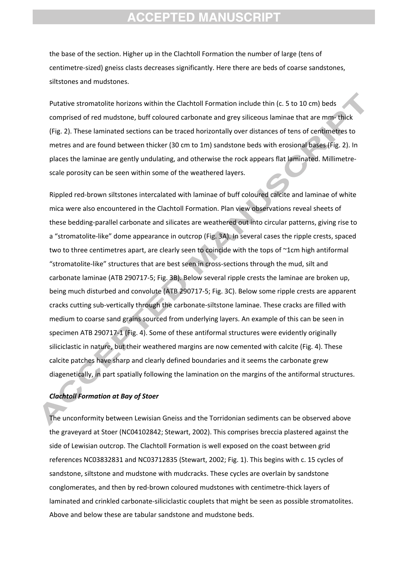the base of the section. Higher up in the Clachtoll Formation the number of large (tens of centimetre-sized) gneiss clasts decreases significantly. Here there are beds of coarse sandstones, siltstones and mudstones.

Putative stromatolite horizons within the Clachtoll Formation include thin (c. 5 to 10 cm) beds comprised of red mudstone, buff coloured carbonate and grey siliceous laminae that are mm- thick (Fig. 2). These laminated sections can be traced horizontally over distances of tens of centimetres to metres and are found between thicker (30 cm to 1m) sandstone beds with erosional bases (Fig. 2). In places the laminae are gently undulating, and otherwise the rock appears flat laminated. Millimetrescale porosity can be seen within some of the weathered layers.

Rippled red-brown siltstones intercalated with laminae of buff coloured calcite and laminae of white mica were also encountered in the Clachtoll Formation. Plan view observations reveal sheets of these bedding-parallel carbonate and silicates are weathered out into circular patterns, giving rise to a "stromatolite-like" dome appearance in outcrop (Fig. 3A). In several cases the ripple crests, spaced two to three centimetres apart, are clearly seen to coincide with the tops of ~1cm high antiformal "stromatolite-like" structures that are best seen in cross-sections through the mud, silt and carbonate laminae (ATB 290717-5; Fig. 3B). Below several ripple crests the laminae are broken up, being much disturbed and convolute (ATB 290717-5; Fig. 3C). Below some ripple crests are apparent cracks cutting sub-vertically through the carbonate-siltstone laminae. These cracks are filled with medium to coarse sand grains sourced from underlying layers. An example of this can be seen in specimen ATB 290717-1 (Fig. 4). Some of these antiformal structures were evidently originally siliciclastic in nature, but their weathered margins are now cemented with calcite (Fig. 4). These calcite patches have sharp and clearly defined boundaries and it seems the carbonate grew diagenetically, in part spatially following the lamination on the margins of the antiformal structures.

### *Clachtoll Formation at Bay of Stoer*

The unconformity between Lewisian Gneiss and the Torridonian sediments can be observed above the graveyard at Stoer (NC04102842; Stewart, 2002). This comprises breccia plastered against the side of Lewisian outcrop. The Clachtoll Formation is well exposed on the coast between grid references NC03832831 and NC03712835 (Stewart, 2002; Fig. 1). This begins with c. 15 cycles of sandstone, siltstone and mudstone with mudcracks. These cycles are overlain by sandstone conglomerates, and then by red-brown coloured mudstones with centimetre-thick layers of laminated and crinkled carbonate-siliciclastic couplets that might be seen as possible stromatolites. Above and below these are tabular sandstone and mudstone beds.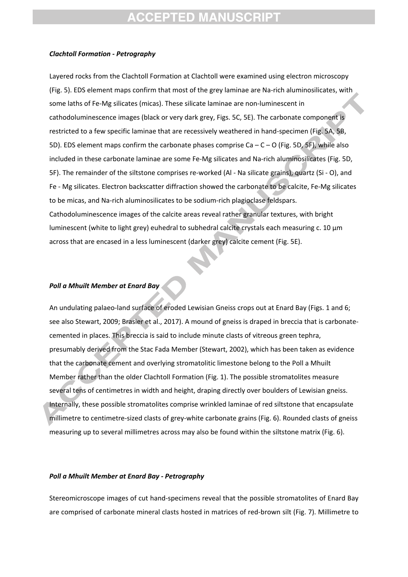#### *Clachtoll Formation - Petrography*

Layered rocks from the Clachtoll Formation at Clachtoll were examined using electron microscopy (Fig. 5). EDS element maps confirm that most of the grey laminae are Na-rich aluminosilicates, with some laths of Fe-Mg silicates (micas). These silicate laminae are non-luminescent in cathodoluminescence images (black or very dark grey, Figs. 5C, 5E). The carbonate component is restricted to a few specific laminae that are recessively weathered in hand-specimen (Fig. 5A, 5B, 5D). EDS element maps confirm the carbonate phases comprise Ca – C – O (Fig. 5D, 5F), while also included in these carbonate laminae are some Fe-Mg silicates and Na-rich aluminosilicates (Fig. 5D, 5F). The remainder of the siltstone comprises re-worked (Al - Na silicate grains), quartz (Si - O), and Fe - Mg silicates. Electron backscatter diffraction showed the carbonate to be calcite, Fe-Mg silicates to be micas, and Na-rich aluminosilicates to be sodium-rich plagioclase feldspars. Cathodoluminescence images of the calcite areas reveal rather granular textures, with bright luminescent (white to light grey) euhedral to subhedral calcite crystals each measuring c. 10 µm across that are encased in a less luminescent (darker grey) calcite cement (Fig. 5E).

#### *Poll a Mhuilt Member at Enard Bay*

An undulating palaeo-land surface of eroded Lewisian Gneiss crops out at Enard Bay (Figs. 1 and 6; see also Stewart, 2009; Brasier et al., 2017). A mound of gneiss is draped in breccia that is carbonatecemented in places. This breccia is said to include minute clasts of vitreous green tephra, presumably derived from the Stac Fada Member (Stewart, 2002), which has been taken as evidence that the carbonate cement and overlying stromatolitic limestone belong to the Poll a Mhuilt Member rather than the older Clachtoll Formation (Fig. 1). The possible stromatolites measure several tens of centimetres in width and height, draping directly over boulders of Lewisian gneiss. Internally, these possible stromatolites comprise wrinkled laminae of red siltstone that encapsulate millimetre to centimetre-sized clasts of grey-white carbonate grains (Fig. 6). Rounded clasts of gneiss measuring up to several millimetres across may also be found within the siltstone matrix (Fig. 6).

#### *Poll a Mhuilt Member at Enard Bay - Petrography*

Stereomicroscope images of cut hand-specimens reveal that the possible stromatolites of Enard Bay are comprised of carbonate mineral clasts hosted in matrices of red-brown silt (Fig. 7). Millimetre to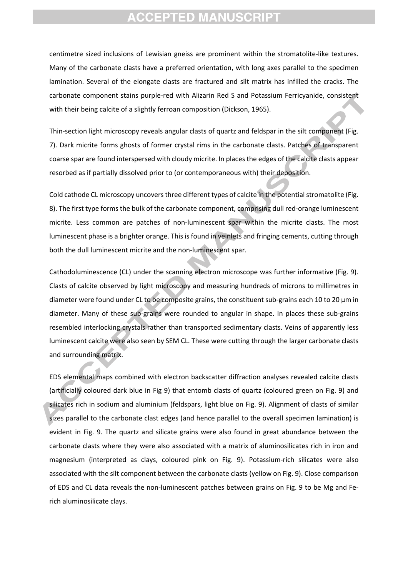centimetre sized inclusions of Lewisian gneiss are prominent within the stromatolite-like textures. Many of the carbonate clasts have a preferred orientation, with long axes parallel to the specimen lamination. Several of the elongate clasts are fractured and silt matrix has infilled the cracks. The carbonate component stains purple-red with Alizarin Red S and Potassium Ferricyanide, consistent with their being calcite of a slightly ferroan composition (Dickson, 1965).

Thin-section light microscopy reveals angular clasts of quartz and feldspar in the silt component (Fig. 7). Dark micrite forms ghosts of former crystal rims in the carbonate clasts. Patches of transparent coarse spar are found interspersed with cloudy micrite. In places the edges of the calcite clasts appear resorbed as if partially dissolved prior to (or contemporaneous with) their deposition.

Cold cathode CL microscopy uncovers three different types of calcite in the potential stromatolite (Fig. 8). The first type forms the bulk of the carbonate component, comprising dull red-orange luminescent micrite. Less common are patches of non-luminescent spar within the micrite clasts. The most luminescent phase is a brighter orange. This is found in veinlets and fringing cements, cutting through both the dull luminescent micrite and the non-luminescent spar.

Cathodoluminescence (CL) under the scanning electron microscope was further informative (Fig. 9). Clasts of calcite observed by light microscopy and measuring hundreds of microns to millimetres in diameter were found under CL to be composite grains, the constituent sub-grains each 10 to 20 µm in diameter. Many of these sub-grains were rounded to angular in shape. In places these sub-grains resembled interlocking crystals rather than transported sedimentary clasts. Veins of apparently less luminescent calcite were also seen by SEM CL. These were cutting through the larger carbonate clasts and surrounding matrix.

EDS elemental maps combined with electron backscatter diffraction analyses revealed calcite clasts (artificially coloured dark blue in Fig 9) that entomb clasts of quartz (coloured green on Fig. 9) and silicates rich in sodium and aluminium (feldspars, light blue on Fig. 9). Alignment of clasts of similar sizes parallel to the carbonate clast edges (and hence parallel to the overall specimen lamination) is evident in Fig. 9. The quartz and silicate grains were also found in great abundance between the carbonate clasts where they were also associated with a matrix of aluminosilicates rich in iron and magnesium (interpreted as clays, coloured pink on Fig. 9). Potassium-rich silicates were also associated with the silt component between the carbonate clasts (yellow on Fig. 9). Close comparison of EDS and CL data reveals the non-luminescent patches between grains on Fig. 9 to be Mg and Ferich aluminosilicate clays.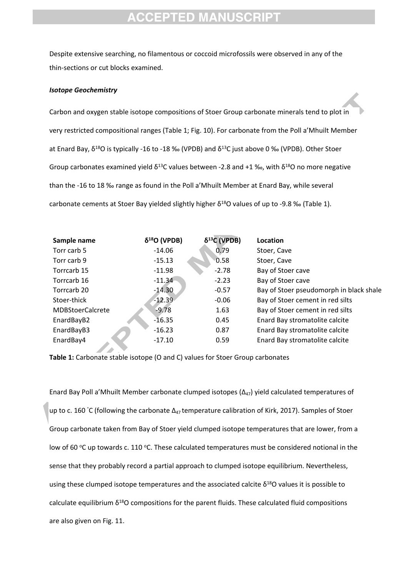Despite extensive searching, no filamentous or coccoid microfossils were observed in any of the thin-sections or cut blocks examined.

#### *Isotope Geochemistry*

Carbon and oxygen stable isotope compositions of Stoer Group carbonate minerals tend to plot in very restricted compositional ranges (Table 1; Fig. 10). For carbonate from the Poll a'Mhuilt Member at Enard Bay,  $\delta^{18}$ O is typically -16 to -18 ‰ (VPDB) and  $\delta^{13}$ C just above 0 ‰ (VPDB). Other Stoer Group carbonates examined yield  $\delta^{13}$ C values between -2.8 and +1 ‰, with  $\delta^{18}$ O no more negative than the -16 to 18 ‰ range as found in the Poll a'Mhuilt Member at Enard Bay, while several carbonate cements at Stoer Bay yielded slightly higher  $\delta^{18}$ O values of up to -9.8 ‰ (Table 1).

| Sample name             | $\delta^{18}O$ (VPDB) | $\delta^{13}$ C (VPDB) | Location                                |
|-------------------------|-----------------------|------------------------|-----------------------------------------|
| Torr carb 5             | $-14.06$              | 0.79                   | Stoer, Cave                             |
| Torr carb 9             | $-15.13$              | 0.58                   | Stoer, Cave                             |
| Torrcarb 15             | $-11.98$              | $-2.78$                | Bay of Stoer cave                       |
| Torrcarb 16             | $-11.34$              | $-2.23$                | Bay of Stoer cave                       |
| Torrcarb 20             | $-14.30$              | $-0.57$                | Bay of Stoer pseudomorph in black shale |
| Stoer-thick             | $-12.39$              | $-0.06$                | Bay of Stoer cement in red silts        |
| <b>MDBStoerCalcrete</b> | $-9.78$               | 1.63                   | Bay of Stoer cement in red silts        |
| EnardBayB2              | $-16.35$              | 0.45                   | Enard Bay stromatolite calcite          |
| EnardBayB3              | $-16.23$              | 0.87                   | Enard Bay stromatolite calcite          |
| EnardBay4               | $-17.10$              | 0.59                   | Enard Bay stromatolite calcite          |

**Table 1:** Carbonate stable isotope (O and C) values for Stoer Group carbonates

Enard Bay Poll a'Mhuilt Member carbonate clumped isotopes  $(\Delta_{47})$  yield calculated temperatures of up to c. 160 °C (following the carbonate Δ<sub>47</sub> temperature calibration of Kirk, 2017). Samples of Stoer Group carbonate taken from Bay of Stoer yield clumped isotope temperatures that are lower, from a low of 60 °C up towards c. 110 °C. These calculated temperatures must be considered notional in the sense that they probably record a partial approach to clumped isotope equilibrium. Nevertheless, using these clumped isotope temperatures and the associated calcite  $\delta^{18}O$  values it is possible to calculate equilibrium  $\delta^{18}O$  compositions for the parent fluids. These calculated fluid compositions are also given on Fig. 11.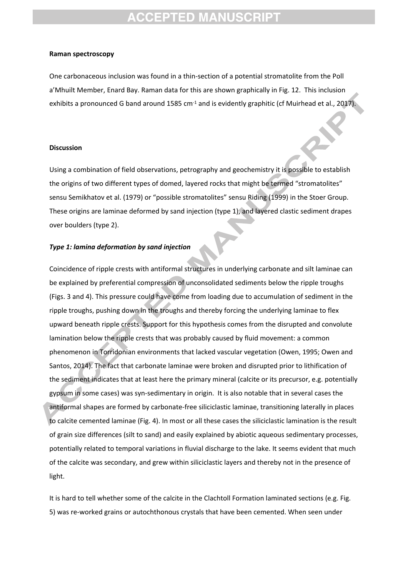#### **Raman spectroscopy**

One carbonaceous inclusion was found in a thin-section of a potential stromatolite from the Poll a'Mhuilt Member, Enard Bay. Raman data for this are shown graphically in Fig. 12. This inclusion exhibits a pronounced G band around 1585  $cm<sup>-1</sup>$  and is evidently graphitic (cf Muirhead et al., 2017).

#### **Discussion**

Using a combination of field observations, petrography and geochemistry it is possible to establish the origins of two different types of domed, layered rocks that might be termed "stromatolites" sensu Semikhatov et al. (1979) or "possible stromatolites" sensu Riding (1999) in the Stoer Group. These origins are laminae deformed by sand injection (type 1), and layered clastic sediment drapes over boulders (type 2).

#### *Type 1: lamina deformation by sand injection*

Coincidence of ripple crests with antiformal structures in underlying carbonate and silt laminae can be explained by preferential compression of unconsolidated sediments below the ripple troughs (Figs. 3 and 4). This pressure could have come from loading due to accumulation of sediment in the ripple troughs, pushing down in the troughs and thereby forcing the underlying laminae to flex upward beneath ripple crests. Support for this hypothesis comes from the disrupted and convolute lamination below the ripple crests that was probably caused by fluid movement: a common phenomenon in Torridonian environments that lacked vascular vegetation (Owen, 1995; Owen and Santos, 2014). The fact that carbonate laminae were broken and disrupted prior to lithification of the sediment indicates that at least here the primary mineral (calcite or its precursor, e.g. potentially gypsum in some cases) was syn-sedimentary in origin. It is also notable that in several cases the antiformal shapes are formed by carbonate-free siliciclastic laminae, transitioning laterally in places to calcite cemented laminae (Fig. 4). In most or all these cases the siliciclastic lamination is the result of grain size differences (silt to sand) and easily explained by abiotic aqueous sedimentary processes, potentially related to temporal variations in fluvial discharge to the lake. It seems evident that much of the calcite was secondary, and grew within siliciclastic layers and thereby not in the presence of light.

It is hard to tell whether some of the calcite in the Clachtoll Formation laminated sections (e.g. Fig. 5) was re-worked grains or autochthonous crystals that have been cemented. When seen under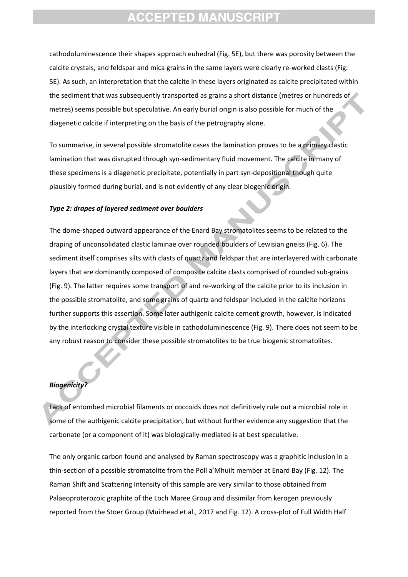cathodoluminescence their shapes approach euhedral (Fig. 5E), but there was porosity between the calcite crystals, and feldspar and mica grains in the same layers were clearly re-worked clasts (Fig. 5E). As such, an interpretation that the calcite in these layers originated as calcite precipitated within the sediment that was subsequently transported as grains a short distance (metres or hundreds of metres) seems possible but speculative. An early burial origin is also possible for much of the diagenetic calcite if interpreting on the basis of the petrography alone.

To summarise, in several possible stromatolite cases the lamination proves to be a primary clastic lamination that was disrupted through syn-sedimentary fluid movement. The calcite in many of these specimens is a diagenetic precipitate, potentially in part syn-depositional though quite plausibly formed during burial, and is not evidently of any clear biogenic origin.

#### *Type 2: drapes of layered sediment over boulders*

The dome-shaped outward appearance of the Enard Bay stromatolites seems to be related to the draping of unconsolidated clastic laminae over rounded boulders of Lewisian gneiss (Fig. 6). The sediment itself comprises silts with clasts of quartz and feldspar that are interlayered with carbonate layers that are dominantly composed of composite calcite clasts comprised of rounded sub-grains (Fig. 9). The latter requires some transport of and re-working of the calcite prior to its inclusion in the possible stromatolite, and some grains of quartz and feldspar included in the calcite horizons further supports this assertion. Some later authigenic calcite cement growth, however, is indicated by the interlocking crystal texture visible in cathodoluminescence (Fig. 9). There does not seem to be any robust reason to consider these possible stromatolites to be true biogenic stromatolites.

### *Biogenicity?*

Lack of entombed microbial filaments or coccoids does not definitively rule out a microbial role in some of the authigenic calcite precipitation, but without further evidence any suggestion that the carbonate (or a component of it) was biologically-mediated is at best speculative.

The only organic carbon found and analysed by Raman spectroscopy was a graphitic inclusion in a thin-section of a possible stromatolite from the Poll a'Mhuilt member at Enard Bay (Fig. 12). The Raman Shift and Scattering Intensity of this sample are very similar to those obtained from Palaeoproterozoic graphite of the Loch Maree Group and dissimilar from kerogen previously reported from the Stoer Group (Muirhead et al., 2017 and Fig. 12). A cross-plot of Full Width Half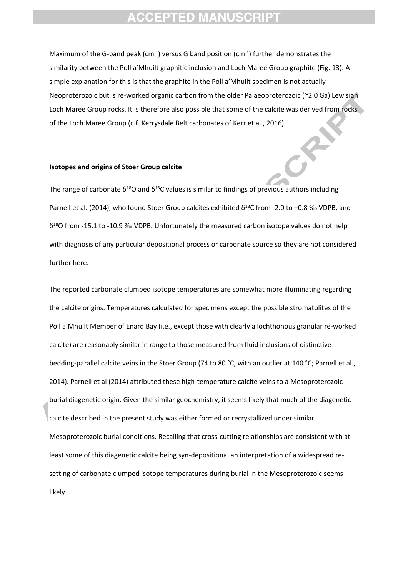Maximum of the G-band peak (cm<sup>-1</sup>) versus G band position (cm<sup>-1</sup>) further demonstrates the similarity between the Poll a'Mhuilt graphitic inclusion and Loch Maree Group graphite (Fig. 13). A simple explanation for this is that the graphite in the Poll a'Mhuilt specimen is not actually Neoproterozoic but is re-worked organic carbon from the older Palaeoproterozoic (~2.0 Ga) Lewisian Loch Maree Group rocks. It is therefore also possible that some of the calcite was derived from rocks of the Loch Maree Group (c.f. Kerrysdale Belt carbonates of Kerr et al., 2016).

#### **Isotopes and origins of Stoer Group calcite**

The range of carbonate  $\delta^{18}O$  and  $\delta^{13}C$  values is similar to findings of previous authors including Parnell et al. (2014), who found Stoer Group calcites exhibited  $\delta^{13}$ C from -2.0 to +0.8 ‰ VDPB, and  $\delta^{18}$ O from -15.1 to -10.9 ‰ VDPB. Unfortunately the measured carbon isotope values do not help with diagnosis of any particular depositional process or carbonate source so they are not considered further here.

The reported carbonate clumped isotope temperatures are somewhat more illuminating regarding the calcite origins. Temperatures calculated for specimens except the possible stromatolites of the Poll a'Mhuilt Member of Enard Bay (i.e., except those with clearly allochthonous granular re-worked calcite) are reasonably similar in range to those measured from fluid inclusions of distinctive bedding-parallel calcite veins in the Stoer Group (74 to 80 °C, with an outlier at 140 °C; Parnell et al., 2014). Parnell et al (2014) attributed these high-temperature calcite veins to a Mesoproterozoic burial diagenetic origin. Given the similar geochemistry, it seems likely that much of the diagenetic calcite described in the present study was either formed or recrystallized under similar Mesoproterozoic burial conditions. Recalling that cross-cutting relationships are consistent with at least some of this diagenetic calcite being syn-depositional an interpretation of a widespread resetting of carbonate clumped isotope temperatures during burial in the Mesoproterozoic seems likely.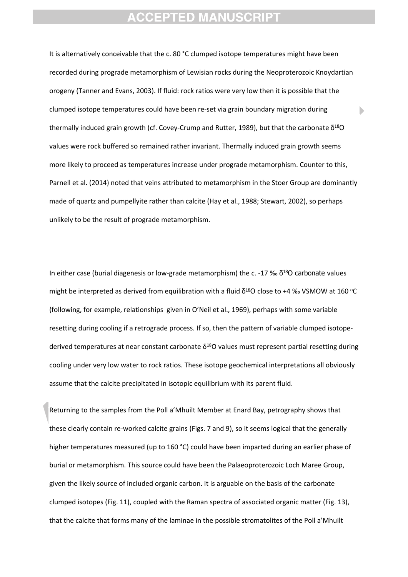It is alternatively conceivable that the c. 80 °C clumped isotope temperatures might have been recorded during prograde metamorphism of Lewisian rocks during the Neoproterozoic Knoydartian orogeny (Tanner and Evans, 2003). If fluid: rock ratios were very low then it is possible that the clumped isotope temperatures could have been re-set via grain boundary migration during thermally induced grain growth (cf. Covey-Crump and Rutter, 1989), but that the carbonate δ<sup>18</sup>O values were rock buffered so remained rather invariant. Thermally induced grain growth seems more likely to proceed as temperatures increase under prograde metamorphism. Counter to this, Parnell et al. (2014) noted that veins attributed to metamorphism in the Stoer Group are dominantly made of quartz and pumpellyite rather than calcite (Hay et al., 1988; Stewart, 2002), so perhaps unlikely to be the result of prograde metamorphism.

In either case (burial diagenesis or low-grade metamorphism) the c. -17 ‰  $\delta^{18}O$  carbonate values might be interpreted as derived from equilibration with a fluid  $\delta^{18}O$  close to +4 ‰ VSMOW at 160 °C (following, for example, relationships given in O'Neil et al., 1969), perhaps with some variable resetting during cooling if a retrograde process. If so, then the pattern of variable clumped isotopederived temperatures at near constant carbonate  $\delta^{18}$ O values must represent partial resetting during cooling under very low water to rock ratios. These isotope geochemical interpretations all obviously assume that the calcite precipitated in isotopic equilibrium with its parent fluid.

Returning to the samples from the Poll a'Mhuilt Member at Enard Bay, petrography shows that these clearly contain re-worked calcite grains (Figs. 7 and 9), so it seems logical that the generally higher temperatures measured (up to 160 °C) could have been imparted during an earlier phase of burial or metamorphism. This source could have been the Palaeoproterozoic Loch Maree Group, given the likely source of included organic carbon. It is arguable on the basis of the carbonate clumped isotopes (Fig. 11), coupled with the Raman spectra of associated organic matter (Fig. 13), that the calcite that forms many of the laminae in the possible stromatolites of the Poll a'Mhuilt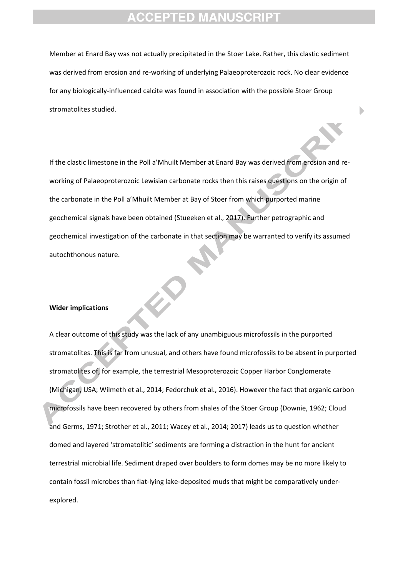Member at Enard Bay was not actually precipitated in the Stoer Lake. Rather, this clastic sediment was derived from erosion and re-working of underlying Palaeoproterozoic rock. No clear evidence for any biologically-influenced calcite was found in association with the possible Stoer Group stromatolites studied.

D

If the clastic limestone in the Poll a'Mhuilt Member at Enard Bay was derived from erosion and reworking of Palaeoproterozoic Lewisian carbonate rocks then this raises questions on the origin of the carbonate in the Poll a'Mhuilt Member at Bay of Stoer from which purported marine geochemical signals have been obtained (Stueeken et al., 2017). Further petrographic and geochemical investigation of the carbonate in that section may be warranted to verify its assumed autochthonous nature.

#### **Wider implications**

A clear outcome of this study was the lack of any unambiguous microfossils in the purported stromatolites. This is far from unusual, and others have found microfossils to be absent in purported stromatolites of, for example, the terrestrial Mesoproterozoic Copper Harbor Conglomerate (Michigan, USA; Wilmeth et al., 2014; Fedorchuk et al., 2016). However the fact that organic carbon microfossils have been recovered by others from shales of the Stoer Group (Downie, 1962; Cloud and Germs, 1971; Strother et al., 2011; Wacey et al., 2014; 2017) leads us to question whether domed and layered 'stromatolitic' sediments are forming a distraction in the hunt for ancient terrestrial microbial life. Sediment draped over boulders to form domes may be no more likely to contain fossil microbes than flat-lying lake-deposited muds that might be comparatively underexplored.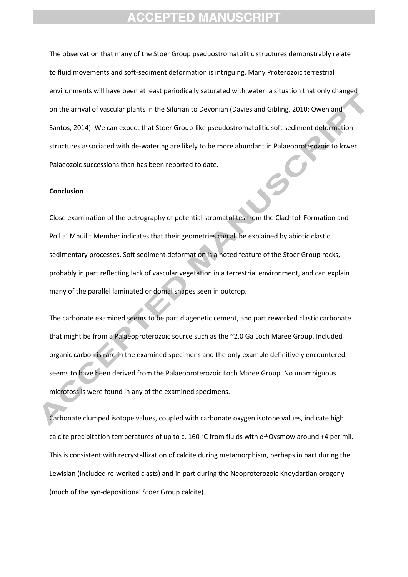The observation that many of the Stoer Group pseduostromatolitic structures demonstrably relate to fluid movements and soft-sediment deformation is intriguing. Many Proterozoic terrestrial environments will have been at least periodically saturated with water: a situation that only changed on the arrival of vascular plants in the Silurian to Devonian (Davies and Gibling, 2010; Owen and Santos, 2014). We can expect that Stoer Group-like pseudostromatolitic soft sediment deformation structures associated with de-watering are likely to be more abundant in Palaeoproterozoic to lower Palaeozoic successions than has been reported to date.

#### **Conclusion**

Close examination of the petrography of potential stromatolites from the Clachtoll Formation and Poll a' Mhuillt Member indicates that their geometries can all be explained by abiotic clastic sedimentary processes. Soft sediment deformation is a noted feature of the Stoer Group rocks, probably in part reflecting lack of vascular vegetation in a terrestrial environment, and can explain many of the parallel laminated or domal shapes seen in outcrop.

The carbonate examined seems to be part diagenetic cement, and part reworked clastic carbonate that might be from a Palaeoproterozoic source such as the ~2.0 Ga Loch Maree Group. Included organic carbon is rare in the examined specimens and the only example definitively encountered seems to have been derived from the Palaeoproterozoic Loch Maree Group. No unambiguous microfossils were found in any of the examined specimens.

Carbonate clumped isotope values, coupled with carbonate oxygen isotope values, indicate high calcite precipitation temperatures of up to c. 160 °C from fluids with  $\delta^{18}$ Ovsmow around +4 per mil. This is consistent with recrystallization of calcite during metamorphism, perhaps in part during the Lewisian (included re-worked clasts) and in part during the Neoproterozoic Knoydartian orogeny (much of the syn-depositional Stoer Group calcite).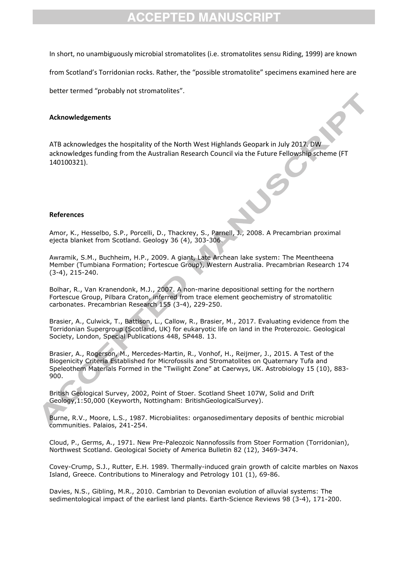In short, no unambiguously microbial stromatolites (i.e. stromatolites sensu Riding, 1999) are known

from Scotland's Torridonian rocks. Rather, the "possible stromatolite" specimens examined here are

better termed "probably not stromatolites".

### **Acknowledgements**

ATB acknowledges the hospitality of the North West Highlands Geopark in July 2017. DW acknowledges funding from the Australian Research Council via the Future Fellowship scheme (FT 140100321).

#### **References**

Amor, K., Hesselbo, S.P., Porcelli, D., Thackrey, S., Parnell, J., 2008. A Precambrian proximal ejecta blanket from Scotland. Geology 36 (4), 303-306.

Awramik, S.M., Buchheim, H.P., 2009. A giant, Late Archean lake system: The Meentheena Member (Tumbiana Formation; Fortescue Group), Western Australia. Precambrian Research 174 (3-4), 215-240.

Bolhar, R., Van Kranendonk, M.J., 2007. A non-marine depositional setting for the northern Fortescue Group, Pilbara Craton, inferred from trace element geochemistry of stromatolitic carbonates. Precambrian Research 155 (3-4), 229-250.

Brasier, A., Culwick, T., Battison, L., Callow, R., Brasier, M., 2017. Evaluating evidence from the Torridonian Supergroup (Scotland, UK) for eukaryotic life on land in the Proterozoic. Geological Society, London, Special Publications 448, SP448. 13.

Brasier, A., Rogerson, M., Mercedes-Martin, R., Vonhof, H., Reijmer, J., 2015. A Test of the Biogenicity Criteria Established for Microfossils and Stromatolites on Quaternary Tufa and Speleothem Materials Formed in the "Twilight Zone" at Caerwys, UK. Astrobiology 15 (10), 883- 900.

British Geological Survey, 2002, Point of Stoer. Scotland Sheet 107W, Solid and Drift Geology,1:50,000 (Keyworth, Nottingham: BritishGeologicalSurvey).

Burne, R.V., Moore, L.S., 1987. Microbialites: organosedimentary deposits of benthic microbial communities. Palaios, 241-254.

Cloud, P., Germs, A., 1971. New Pre-Paleozoic Nannofossils from Stoer Formation (Torridonian), Northwest Scotland. Geological Society of America Bulletin 82 (12), 3469-3474.

Covey-Crump, S.J., Rutter, E.H. 1989. Thermally-induced grain growth of calcite marbles on Naxos Island, Greece. Contributions to Mineralogy and Petrology 101 (1), 69-86.

Davies, N.S., Gibling, M.R., 2010. Cambrian to Devonian evolution of alluvial systems: The sedimentological impact of the earliest land plants. Earth-Science Reviews 98 (3-4), 171-200.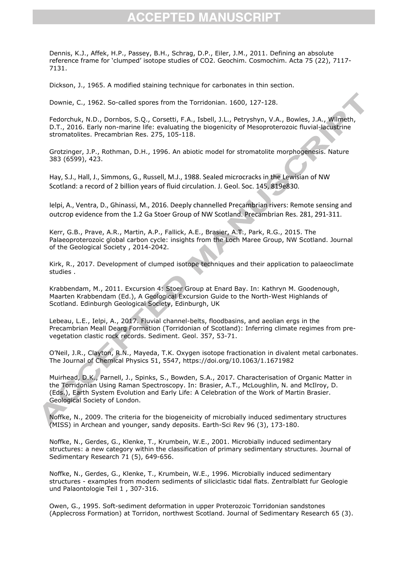Dennis, K.J., Affek, H.P., Passey, B.H., Schrag, D.P., Eiler, J.M., 2011. Defining an absolute reference frame for 'clumped' isotope studies of CO2. Geochim. Cosmochim. Acta 75 (22), 7117- 7131.

Dickson, J., 1965. A modified staining technique for carbonates in thin section.

Downie, C., 1962. So-called spores from the Torridonian. 1600, 127-128.

Fedorchuk, N.D., Dornbos, S.Q., Corsetti, F.A., Isbell, J.L., Petryshyn, V.A., Bowles, J.A., Wilmeth, D.T., 2016. Early non-marine life: evaluating the biogenicity of Mesoproterozoic fluvial-lacustrine stromatolites. Precambrian Res. 275, 105-118.

Grotzinger, J.P., Rothman, D.H., 1996. An abiotic model for stromatolite morphogenesis. Nature 383 (6599), 423.

Hay, S.J., Hall, J., Simmons, G., Russell, M.J., 1988. Sealed microcracks in the Lewisian of NW Scotland: a record of 2 billion years of fluid circulation. J. Geol. Soc. 145, 819e830.

Ielpi, A., Ventra, D., Ghinassi, M., 2016. Deeply channelled Precambrian rivers: Remote sensing and outcrop evidence from the 1.2 Ga Stoer Group of NW Scotland. Precambrian Res. 281, 291-311.

Kerr, G.B., Prave, A.R., Martin, A.P., Fallick, A.E., Brasier, A.T., Park, R.G., 2015. The Palaeoproterozoic global carbon cycle: insights from the Loch Maree Group, NW Scotland. Journal of the Geological Society , 2014-2042.

Kirk, R., 2017. Development of clumped isotope techniques and their application to palaeoclimate studies .

Krabbendam, M., 2011. Excursion 4: Stoer Group at Enard Bay. In: Kathryn M. Goodenough, Maarten Krabbendam (Ed.), A Geological Excursion Guide to the North-West Highlands of Scotland. Edinburgh Geological Society, Edinburgh, UK

Lebeau, L.E., Ielpi, A., 2017. Fluvial channel-belts, floodbasins, and aeolian ergs in the Precambrian Meall Dearg Formation (Torridonian of Scotland): Inferring climate regimes from prevegetation clastic rock records. Sediment. Geol. 357, 53-71.

O'Neil, J.R., Clayton, R.N., Mayeda, T.K. Oxygen isotope fractionation in divalent metal carbonates. The Journal of Chemical Physics 51, 5547, https://doi.org/10.1063/1.1671982

Muirhead, D.K., Parnell, J., Spinks, S., Bowden, S.A., 2017. Characterisation of Organic Matter in the Torridonian Using Raman Spectroscopy. In: Brasier, A.T., McLoughlin, N. and McIlroy, D. (Eds.), Earth System Evolution and Early Life: A Celebration of the Work of Martin Brasier. Geological Society of London.

Noffke, N., 2009. The criteria for the biogeneicity of microbially induced sedimentary structures (MISS) in Archean and younger, sandy deposits. Earth-Sci Rev 96 (3), 173-180.

Noffke, N., Gerdes, G., Klenke, T., Krumbein, W.E., 2001. Microbially induced sedimentary structures: a new category within the classification of primary sedimentary structures. Journal of Sedimentary Research 71 (5), 649-656.

Noffke, N., Gerdes, G., Klenke, T., Krumbein, W.E., 1996. Microbially induced sedimentary structures - examples from modern sediments of siliciclastic tidal flats. Zentralblatt fur Geologie und Palaontologie Teil 1 , 307-316.

Owen, G., 1995. Soft-sediment deformation in upper Proterozoic Torridonian sandstones (Applecross Formation) at Torridon, northwest Scotland. Journal of Sedimentary Research 65 (3).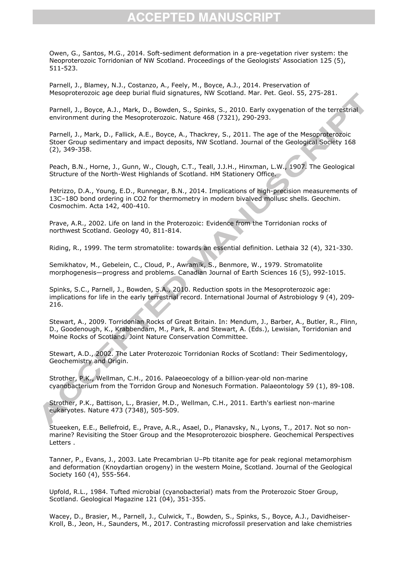Owen, G., Santos, M.G., 2014. Soft-sediment deformation in a pre-vegetation river system: the Neoproterozoic Torridonian of NW Scotland. Proceedings of the Geologists' Association 125 (5), 511-523.

Parnell, J., Blamey, N.J., Costanzo, A., Feely, M., Boyce, A.J., 2014. Preservation of Mesoproterozoic age deep burial fluid signatures, NW Scotland. Mar. Pet. Geol. 55, 275-281.

Parnell, J., Boyce, A.J., Mark, D., Bowden, S., Spinks, S., 2010. Early oxygenation of the terrestrial environment during the Mesoproterozoic. Nature 468 (7321), 290-293.

Parnell, J., Mark, D., Fallick, A.E., Boyce, A., Thackrey, S., 2011. The age of the Mesoproterozoic Stoer Group sedimentary and impact deposits, NW Scotland. Journal of the Geological Society 168 (2), 349-358.

Peach, B.N., Horne, J., Gunn, W., Clough, C.T., Teall, J.J.H., Hinxman, L.W., 1907. The Geological Structure of the North-West Highlands of Scotland. HM Stationery Office.

Petrizzo, D.A., Young, E.D., Runnegar, B.N., 2014. Implications of high-precision measurements of 13C–18O bond ordering in CO2 for thermometry in modern bivalved mollusc shells. Geochim. Cosmochim. Acta 142, 400-410.

Prave, A.R., 2002. Life on land in the Proterozoic: Evidence from the Torridonian rocks of northwest Scotland. Geology 40, 811-814.

Riding, R., 1999. The term stromatolite: towards an essential definition. Lethaia 32 (4), 321-330.

Semikhatov, M., Gebelein, C., Cloud, P., Awramik, S., Benmore, W., 1979. Stromatolite morphogenesis—progress and problems. Canadian Journal of Earth Sciences 16 (5), 992-1015.

Spinks, S.C., Parnell, J., Bowden, S.A., 2010. Reduction spots in the Mesoproterozoic age: implications for life in the early terrestrial record. International Journal of Astrobiology 9 (4), 209- 216.

Stewart, A., 2009. Torridonian Rocks of Great Britain. In: Mendum, J., Barber, A., Butler, R., Flinn, D., Goodenough, K., Krabbendam, M., Park, R. and Stewart, A. (Eds.), Lewisian, Torridonian and Moine Rocks of Scotland. Joint Nature Conservation Committee.

Stewart, A.D., 2002. The Later Proterozoic Torridonian Rocks of Scotland: Their Sedimentology, Geochemistry and Origin.

Strother, P.K., Wellman, C.H., 2016. Palaeoecology of a billion‐year‐old non‐marine cyanobacterium from the Torridon Group and Nonesuch Formation. Palaeontology 59 (1), 89-108.

Strother, P.K., Battison, L., Brasier, M.D., Wellman, C.H., 2011. Earth's earliest non-marine eukaryotes. Nature 473 (7348), 505-509.

Stueeken, E.E., Bellefroid, E., Prave, A.R., Asael, D., Planavsky, N., Lyons, T., 2017. Not so nonmarine? Revisiting the Stoer Group and the Mesoproterozoic biosphere. Geochemical Perspectives Letters .

Tanner, P., Evans, J., 2003. Late Precambrian U–Pb titanite age for peak regional metamorphism and deformation (Knoydartian orogeny) in the western Moine, Scotland. Journal of the Geological Society 160 (4), 555-564.

Upfold, R.L., 1984. Tufted microbial (cyanobacterial) mats from the Proterozoic Stoer Group, Scotland. Geological Magazine 121 (04), 351-355.

Wacey, D., Brasier, M., Parnell, J., Culwick, T., Bowden, S., Spinks, S., Boyce, A.J., Davidheiser-Kroll, B., Jeon, H., Saunders, M., 2017. Contrasting microfossil preservation and lake chemistries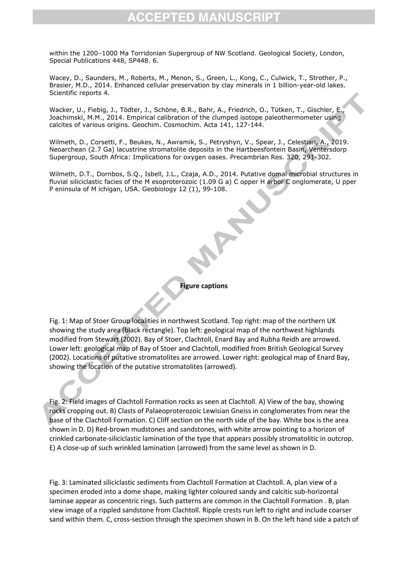within the 1200–1000 Ma Torridonian Supergroup of NW Scotland. Geological Society, London, Special Publications 448, SP448. 6.

Wacey, D., Saunders, M., Roberts, M., Menon, S., Green, L., Kong, C., Culwick, T., Strother, P., Brasier, M.D., 2014. Enhanced cellular preservation by clay minerals in 1 billion-year-old lakes. Scientific reports 4.

Wacker, U., Fiebig, J., Tödter, J., Schöne, B.R., Bahr, A., Friedrich, O., Tütken, T., Gischler, E., Joachimski, M.M., 2014. Empirical calibration of the clumped isotope paleothermometer using calcites of various origins. Geochim. Cosmochim. Acta 141, 127-144.

Wilmeth, D., Corsetti, F., Beukes, N., Awramik, S., Petryshyn, V., Spear, J., Celestian, A., 2019. Neoarchean (2.7 Ga) lacustrine stromatolite deposits in the Hartbeesfontein Basin, Ventersdorp Supergroup, South Africa: Implications for oxygen oases. Precambrian Res. 320, 291-302.

Wilmeth, D.T., Dornbos, S.Q., Isbell, J.L., Czaja, A.D., 2014. Putative domal microbial structures in fluvial siliciclastic facies of the M esoproterozoic (1.09 G a) C opper H arbor C onglomerate, U pper P eninsula of M ichigan, USA. Geobiology 12 (1), 99-108.

**Figure captions**

Fig. 1: Map of Stoer Group localities in northwest Scotland. Top right: map of the northern UK showing the study area (black rectangle). Top left: geological map of the northwest highlands modified from Stewart (2002). Bay of Stoer, Clachtoll, Enard Bay and Rubha Reidh are arrowed. Lower left: geological map of Bay of Stoer and Clachtoll, modified from British Geological Survey (2002). Locations of putative stromatolites are arrowed. Lower right: geological map of Enard Bay, showing the location of the putative stromatolites (arrowed).

Fig. 2: Field images of Clachtoll Formation rocks as seen at Clachtoll. A) View of the bay, showing rocks cropping out. B) Clasts of Palaeoproterozoic Lewisian Gneiss in conglomerates from near the base of the Clachtoll Formation. C) Cliff section on the north side of the bay. White box is the area shown in D. D) Red-brown mudstones and sandstones, with white arrow pointing to a horizon of crinkled carbonate-siliciclastic lamination of the type that appears possibly stromatolitic in outcrop. E) A close-up of such wrinkled lamination (arrowed) from the same level as shown in D.

Fig. 3: Laminated siliciclastic sediments from Clachtoll Formation at Clachtoll. A, plan view of a specimen eroded into a dome shape, making lighter coloured sandy and calcitic sub-horizontal laminae appear as concentric rings. Such patterns are common in the Clachtoll Formation . B, plan view image of a rippled sandstone from Clachtoll. Ripple crests run left to right and include coarser sand within them. C, cross-section through the specimen shown in B. On the left hand side a patch of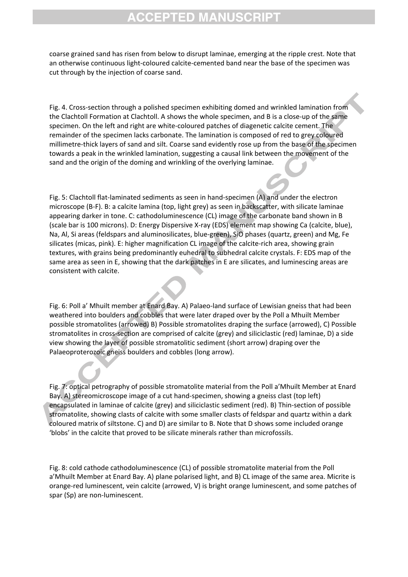coarse grained sand has risen from below to disrupt laminae, emerging at the ripple crest. Note that an otherwise continuous light-coloured calcite-cemented band near the base of the specimen was cut through by the injection of coarse sand.

Fig. 4. Cross-section through a polished specimen exhibiting domed and wrinkled lamination from the Clachtoll Formation at Clachtoll. A shows the whole specimen, and B is a close-up of the same specimen. On the left and right are white-coloured patches of diagenetic calcite cement. The remainder of the specimen lacks carbonate. The lamination is composed of red to grey coloured millimetre-thick layers of sand and silt. Coarse sand evidently rose up from the base of the specimen towards a peak in the wrinkled lamination, suggesting a causal link between the movement of the sand and the origin of the doming and wrinkling of the overlying laminae.

Fig. 5: Clachtoll flat-laminated sediments as seen in hand-specimen (A) and under the electron microscope (B-F). B: a calcite lamina (top, light grey) as seen in backscatter, with silicate laminae appearing darker in tone. C: cathodoluminescence (CL) image of the carbonate band shown in B (scale bar is 100 microns). D: Energy Dispersive X-ray (EDS) element map showing Ca (calcite, blue), Na, Al, Si areas (feldspars and aluminosilicates, blue-green), SiO phases (quartz, green) and Mg, Fe silicates (micas, pink). E: higher magnification CL image of the calcite-rich area, showing grain textures, with grains being predominantly euhedral to subhedral calcite crystals. F: EDS map of the same area as seen in E, showing that the dark patches in E are silicates, and luminescing areas are consistent with calcite.

Fig. 6: Poll a' Mhuilt member at Enard Bay. A) Palaeo-land surface of Lewisian gneiss that had been weathered into boulders and cobbles that were later draped over by the Poll a Mhuilt Member possible stromatolites (arrowed) B) Possible stromatolites draping the surface (arrowed), C) Possible stromatolites in cross-section are comprised of calcite (grey) and siliciclastic (red) laminae, D) a side view showing the layer of possible stromatolitic sediment (short arrow) draping over the Palaeoproterozoic gneiss boulders and cobbles (long arrow).

Fig. 7: optical petrography of possible stromatolite material from the Poll a'Mhuilt Member at Enard Bay. A) stereomicroscope image of a cut hand-specimen, showing a gneiss clast (top left) encapsulated in laminae of calcite (grey) and siliciclastic sediment (red). B) Thin-section of possible stromatolite, showing clasts of calcite with some smaller clasts of feldspar and quartz within a dark coloured matrix of siltstone. C) and D) are similar to B. Note that D shows some included orange 'blobs' in the calcite that proved to be silicate minerals rather than microfossils.

Fig. 8: cold cathode cathodoluminescence (CL) of possible stromatolite material from the Poll a'Mhuilt Member at Enard Bay. A) plane polarised light, and B) CL image of the same area. Micrite is orange-red luminescent, vein calcite (arrowed, V) is bright orange luminescent, and some patches of spar (Sp) are non-luminescent.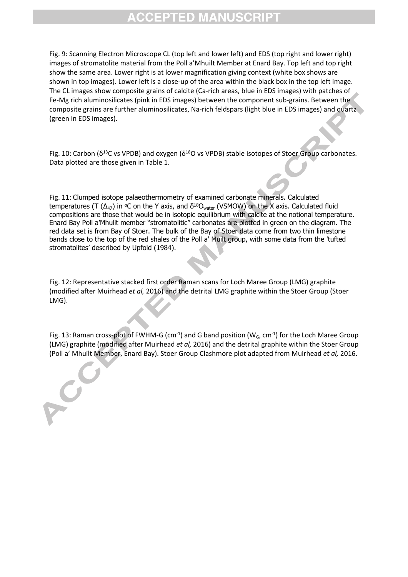Fig. 9: Scanning Electron Microscope CL (top left and lower left) and EDS (top right and lower right) images of stromatolite material from the Poll a'Mhuilt Member at Enard Bay. Top left and top right show the same area. Lower right is at lower magnification giving context (white box shows are shown in top images). Lower left is a close-up of the area within the black box in the top left image. The CL images show composite grains of calcite (Ca-rich areas, blue in EDS images) with patches of Fe-Mg rich aluminosilicates (pink in EDS images) between the component sub-grains. Between the composite grains are further aluminosilicates, Na-rich feldspars (light blue in EDS images) and quartz (green in EDS images).

Fig. 10: Carbon (δ<sup>13</sup>C vs VPDB) and oxygen (δ<sup>18</sup>O vs VPDB) stable isotopes of Stoer Group carbonates. Data plotted are those given in Table 1.

Fig. 11: Clumped isotope palaeothermometry of examined carbonate minerals. Calculated temperatures (T ( $\Delta_{47}$ ) in °C on the Y axis, and  $\delta^{18}O_{\text{water}}$  (VSMOW) on the X axis. Calculated fluid compositions are those that would be in isotopic equilibrium with calcite at the notional temperature. Enard Bay Poll a'Mhulit member "stromatolitic" carbonates are plotted in green on the diagram. The red data set is from Bay of Stoer. The bulk of the Bay of Stoer data come from two thin limestone bands close to the top of the red shales of the Poll a' Muilt group, with some data from the 'tufted stromatolites' described by Upfold (1984).

Fig. 12: Representative stacked first order Raman scans for Loch Maree Group (LMG) graphite (modified after Muirhead *et al,* 2016) and the detrital LMG graphite within the Stoer Group (Stoer LMG).

Fig. 13: Raman cross-plot of FWHM-G (cm<sup>-1</sup>) and G band position ( $W_G$ , cm<sup>-1</sup>) for the Loch Maree Group (LMG) graphite (modified after Muirhead *et al,* 2016) and the detrital graphite within the Stoer Group (Poll a' Mhuilt Member, Enard Bay). Stoer Group Clashmore plot adapted from Muirhead *et al,* 2016.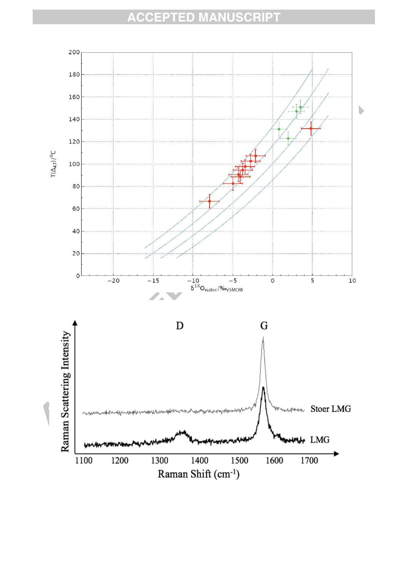